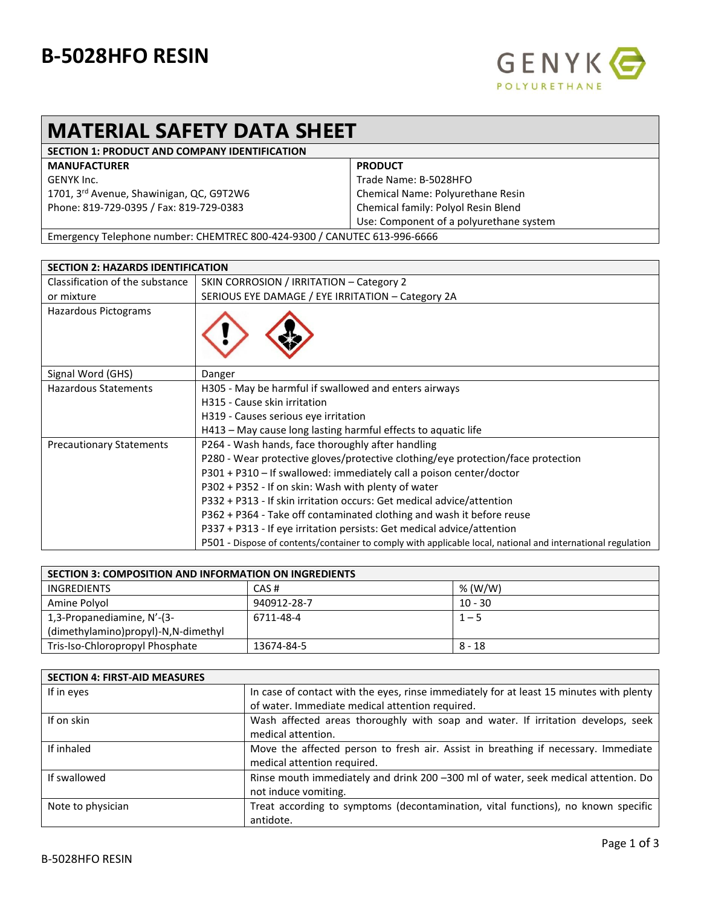## **B-5028HFO RESIN**



## **MATERIAL SAFETY DATA SHEET**

| <b>SECTION 1: PRODUCT AND COMPANY IDENTIFICATION</b>                         |                                         |
|------------------------------------------------------------------------------|-----------------------------------------|
| <b>MANUFACTURER</b>                                                          | <b>PRODUCT</b>                          |
| GENYK Inc.                                                                   | Trade Name: B-5028HFO                   |
| 1701, 3 <sup>rd</sup> Avenue, Shawinigan, QC, G9T2W6                         | Chemical Name: Polyurethane Resin       |
| Phone: 819-729-0395 / Fax: 819-729-0383                                      | Chemical family: Polyol Resin Blend     |
|                                                                              | Use: Component of a polyurethane system |
| Furnacional Talanteria construir CUENTREC 000 131 0300 LCANUTEC C13 00C CCCC |                                         |

Emergency Telephone number: CHEMTREC 800-424-9300 / CANUTEC 613-996-6666

| <b>SECTION 2: HAZARDS IDENTIFICATION</b> |                                                                                                             |
|------------------------------------------|-------------------------------------------------------------------------------------------------------------|
| Classification of the substance          | SKIN CORROSION / IRRITATION - Category 2                                                                    |
| or mixture                               | SERIOUS EYE DAMAGE / EYE IRRITATION - Category 2A                                                           |
| Hazardous Pictograms                     |                                                                                                             |
| Signal Word (GHS)                        | Danger                                                                                                      |
| <b>Hazardous Statements</b>              | H305 - May be harmful if swallowed and enters airways                                                       |
|                                          | H315 - Cause skin irritation                                                                                |
|                                          | H319 - Causes serious eye irritation                                                                        |
|                                          | H413 - May cause long lasting harmful effects to aquatic life                                               |
| <b>Precautionary Statements</b>          | P264 - Wash hands, face thoroughly after handling                                                           |
|                                          | P280 - Wear protective gloves/protective clothing/eye protection/face protection                            |
|                                          | P301 + P310 - If swallowed: immediately call a poison center/doctor                                         |
|                                          | P302 + P352 - If on skin: Wash with plenty of water                                                         |
|                                          | P332 + P313 - If skin irritation occurs: Get medical advice/attention                                       |
|                                          | P362 + P364 - Take off contaminated clothing and wash it before reuse                                       |
|                                          | P337 + P313 - If eye irritation persists: Get medical advice/attention                                      |
|                                          | P501 - Dispose of contents/container to comply with applicable local, national and international regulation |

| <b>SECTION 3: COMPOSITION AND INFORMATION ON INGREDIENTS</b> |             |           |
|--------------------------------------------------------------|-------------|-----------|
| <b>INGREDIENTS</b>                                           | CAS#        | % (W/W)   |
| Amine Polyol                                                 | 940912-28-7 | $10 - 30$ |
| 1,3-Propanediamine, N'-(3-                                   | 6711-48-4   | $1 - 5$   |
| (dimethylamino)propyl)-N,N-dimethyl                          |             |           |
| Tris-Iso-Chloropropyl Phosphate                              | 13674-84-5  | 8 - 18    |

| <b>SECTION 4: FIRST-AID MEASURES</b> |                                                                                                                                            |
|--------------------------------------|--------------------------------------------------------------------------------------------------------------------------------------------|
| If in eyes                           | In case of contact with the eyes, rinse immediately for at least 15 minutes with plenty<br>of water. Immediate medical attention required. |
| If on skin                           | Wash affected areas thoroughly with soap and water. If irritation develops, seek                                                           |
|                                      | medical attention.                                                                                                                         |
| If inhaled                           | Move the affected person to fresh air. Assist in breathing if necessary. Immediate<br>medical attention required.                          |
| If swallowed                         | Rinse mouth immediately and drink 200 -300 ml of water, seek medical attention. Do                                                         |
|                                      | not induce vomiting.                                                                                                                       |
| Note to physician                    | Treat according to symptoms (decontamination, vital functions), no known specific<br>antidote.                                             |
|                                      |                                                                                                                                            |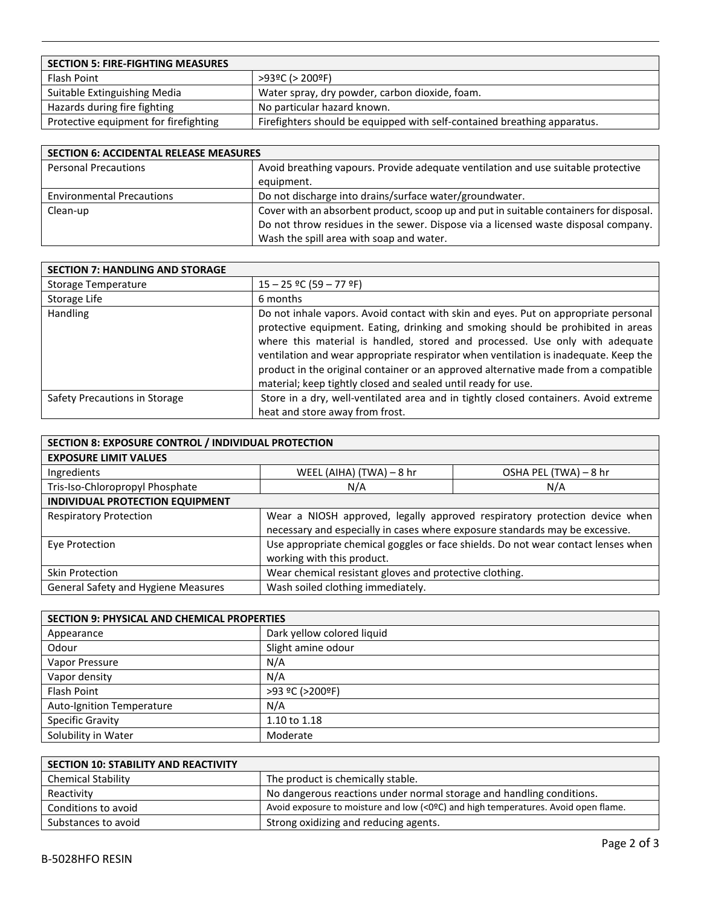| <b>SECTION 5: FIRE-FIGHTING MEASURES</b> |                                                                          |
|------------------------------------------|--------------------------------------------------------------------------|
| Flash Point                              | $>93°C$ ( $>200°F$ )                                                     |
| Suitable Extinguishing Media             | Water spray, dry powder, carbon dioxide, foam.                           |
| Hazards during fire fighting             | No particular hazard known.                                              |
| Protective equipment for firefighting    | Firefighters should be equipped with self-contained breathing apparatus. |

| <b>SECTION 6: ACCIDENTAL RELEASE MEASURES</b> |                                                                                        |  |
|-----------------------------------------------|----------------------------------------------------------------------------------------|--|
| <b>Personal Precautions</b>                   | Avoid breathing vapours. Provide adequate ventilation and use suitable protective      |  |
|                                               | equipment.                                                                             |  |
| <b>Environmental Precautions</b>              | Do not discharge into drains/surface water/groundwater.                                |  |
| Clean-up                                      | Cover with an absorbent product, scoop up and put in suitable containers for disposal. |  |
|                                               | Do not throw residues in the sewer. Dispose via a licensed waste disposal company.     |  |
|                                               | Wash the spill area with soap and water.                                               |  |

| <b>SECTION 7: HANDLING AND STORAGE</b> |                                                                                                                                                                                                                                                                                                                                                                                                                                                                                                         |
|----------------------------------------|---------------------------------------------------------------------------------------------------------------------------------------------------------------------------------------------------------------------------------------------------------------------------------------------------------------------------------------------------------------------------------------------------------------------------------------------------------------------------------------------------------|
| Storage Temperature                    | $15 - 25$ °C (59 - 77 °F)                                                                                                                                                                                                                                                                                                                                                                                                                                                                               |
| Storage Life                           | 6 months                                                                                                                                                                                                                                                                                                                                                                                                                                                                                                |
| Handling                               | Do not inhale vapors. Avoid contact with skin and eyes. Put on appropriate personal<br>protective equipment. Eating, drinking and smoking should be prohibited in areas<br>where this material is handled, stored and processed. Use only with adequate<br>ventilation and wear appropriate respirator when ventilation is inadequate. Keep the<br>product in the original container or an approved alternative made from a compatible<br>material; keep tightly closed and sealed until ready for use. |
| Safety Precautions in Storage          | Store in a dry, well-ventilated area and in tightly closed containers. Avoid extreme                                                                                                                                                                                                                                                                                                                                                                                                                    |
|                                        | heat and store away from frost.                                                                                                                                                                                                                                                                                                                                                                                                                                                                         |

| SECTION 8: EXPOSURE CONTROL / INDIVIDUAL PROTECTION |                                                                              |                                                                                   |
|-----------------------------------------------------|------------------------------------------------------------------------------|-----------------------------------------------------------------------------------|
| <b>EXPOSURE LIMIT VALUES</b>                        |                                                                              |                                                                                   |
| Ingredients                                         | WEEL (AIHA) (TWA) - 8 hr                                                     | OSHA PEL (TWA) - 8 hr                                                             |
| Tris-Iso-Chloropropyl Phosphate                     | N/A                                                                          | N/A                                                                               |
| INDIVIDUAL PROTECTION EQUIPMENT                     |                                                                              |                                                                                   |
| <b>Respiratory Protection</b>                       |                                                                              | Wear a NIOSH approved, legally approved respiratory protection device when        |
|                                                     | necessary and especially in cases where exposure standards may be excessive. |                                                                                   |
| Eye Protection                                      |                                                                              | Use appropriate chemical goggles or face shields. Do not wear contact lenses when |
|                                                     | working with this product.                                                   |                                                                                   |
| Skin Protection                                     | Wear chemical resistant gloves and protective clothing.                      |                                                                                   |
| <b>General Safety and Hygiene Measures</b>          | Wash soiled clothing immediately.                                            |                                                                                   |

| <b>SECTION 9: PHYSICAL AND CHEMICAL PROPERTIES</b> |                            |
|----------------------------------------------------|----------------------------|
| Appearance                                         | Dark yellow colored liquid |
| Odour                                              | Slight amine odour         |
| Vapor Pressure                                     | N/A                        |
| Vapor density                                      | N/A                        |
| <b>Flash Point</b>                                 | >93 ºC (>200ºF)            |
| <b>Auto-Ignition Temperature</b>                   | N/A                        |
| <b>Specific Gravity</b>                            | 1.10 to 1.18               |
| Solubility in Water                                | Moderate                   |

| <b>SECTION 10: STABILITY AND REACTIVITY</b> |                                                                                    |
|---------------------------------------------|------------------------------------------------------------------------------------|
| <b>Chemical Stability</b>                   | The product is chemically stable.                                                  |
| Reactivity                                  | No dangerous reactions under normal storage and handling conditions.               |
| Conditions to avoid                         | Avoid exposure to moisture and low (<0ºC) and high temperatures. Avoid open flame. |
| Substances to avoid                         | Strong oxidizing and reducing agents.                                              |